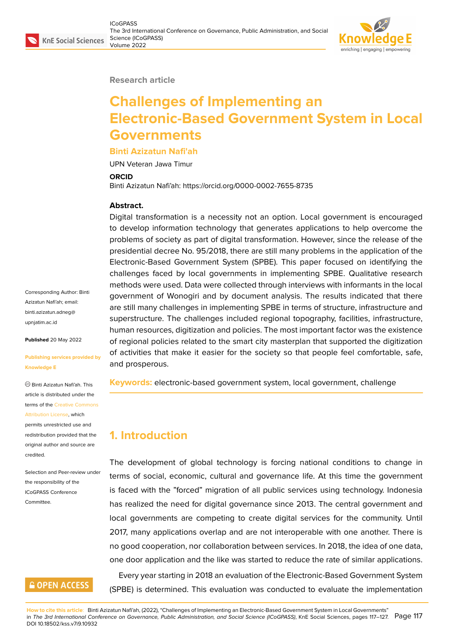

#### **Research article**

# **Challenges of Implementing an Electronic-Based Government System in Local Governments**

#### **Binti Azizatun Nafi'ah**

UPN Veteran Jawa Timur

#### **ORCID**

Binti Azizatun Nafi'ah: https://orcid.org/0000-0002-7655-8735

#### **Abstract.**

Digital transformation is a necessity not an option. Local government is encouraged to develop information technology that generates applications to help overcome the problems of society as part of digital transformation. However, since the release of the presidential decree No. 95/2018, there are still many problems in the application of the Electronic-Based Government System (SPBE). This paper focused on identifying the challenges faced by local governments in implementing SPBE. Qualitative research methods were used. Data were collected through interviews with informants in the local government of Wonogiri and by document analysis. The results indicated that there are still many challenges in implementing SPBE in terms of structure, infrastructure and superstructure. The challenges included regional topography, facilities, infrastructure, human resources, digitization and policies. The most important factor was the existence of regional policies related to the smart city masterplan that supported the digitization of activities that make it easier for the society so that people feel comfortable, safe, and prosperous.

**Keywords:** electronic-based government system, local government, challenge

# **1. Introduction**

The development of global technology is forcing national conditions to change in terms of social, economic, cultural and governance life. At this time the government is faced with the "forced" migration of all public services using technology. Indonesia has realized the need for digital governance since 2013. The central government and local governments are competing to create digital services for the community. Until 2017, many applications overlap and are not interoperable with one another. There is no good cooperation, nor collaboration between services. In 2018, the idea of one data, one door application and the like was started to reduce the rate of similar applications. Every year starting in 2018 an evaluation of the Electronic-Based Government System (SPBE) is determined. This evaluation was conducted to evaluate the implementation

**How to cite this article**: Binti Azizatun Nafi'ah, (2022), "Challenges of Implementing an Electronic-Based Government System in Local Governments" in *The 3rd International Conference on Governance, Public Administration, and Social Science (ICoGPASS)*, KnE Social Sciences, pages 117–127. DOI 10.18502/kss.v7i9.10932 Page 117

Corresponding Author: Binti Azizatun Nafi'ah; email: binti.azizatun.adneg@ upnjatim.ac.id

**Published** 20 May 2022

#### **[Publishing se](mailto:binti.azizatun.adneg@upnjatim.ac.id)rvices provided by Knowledge E**

Binti Azizatun Nafi'ah. This article is distributed under the terms of the Creative Commons Attribution License, which permits unrestricted use and

redistribution provided that the original auth[or and source are](https://creativecommons.org/licenses/by/4.0/) [credited.](https://creativecommons.org/licenses/by/4.0/)

Selection and Peer-review under the responsibility of the ICoGPASS Conference **Committee** 

## **GOPEN ACCESS**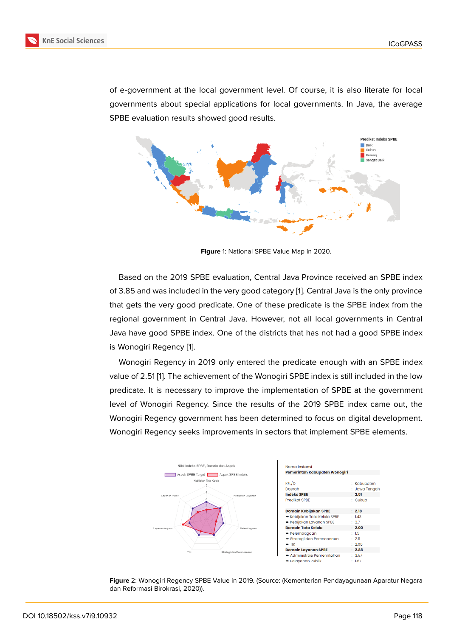of e-government at the local government level. Of course, it is also literate for local governments about special applications for local governments. In Java, the average SPBE evaluation results showed good results.



**Figure** 1: National SPBE Value Map in 2020.

Based on the 2019 SPBE evaluation, Central Java Province received an SPBE index of 3.85 and was included in the very good category [1]. Central Java is the only province that gets the very good predicate. One of these predicate is the SPBE index from the regional government in Central Java. However, not all local governments in Central Java have good SPBE index. One of the districts th[a](#page-8-0)t has not had a good SPBE index is Wonogiri Regency [1].

Wonogiri Regency in 2019 only entered the predicate enough with an SPBE index value of 2.51 [1]. The achievement of the Wonogiri SPBE index is still included in the low predicate. It is neces[sa](#page-8-0)ry to improve the implementation of SPBE at the government level of Wonogiri Regency. Since the results of the 2019 SPBE index came out, the Wonogiri Reg[e](#page-8-0)ncy government has been determined to focus on digital development. Wonogiri Regency seeks improvements in sectors that implement SPBE elements.



**Figure** 2: Wonogiri Regency SPBE Value in 2019. (Source: (Kementerian Pendayagunaan Aparatur Negara dan Reformasi Birokrasi, 2020)).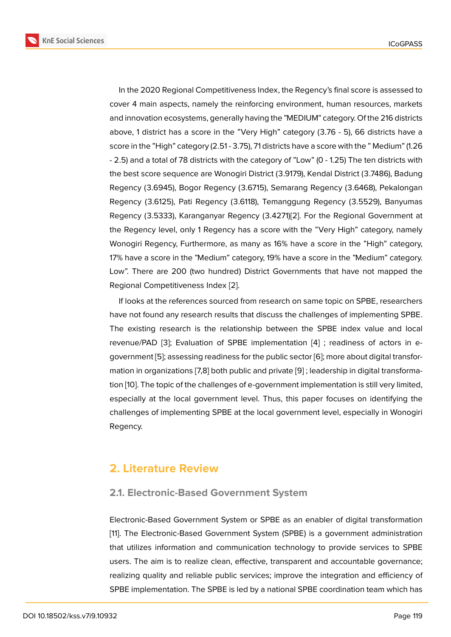In the 2020 Regional Competitiveness Index, the Regency's final score is assessed to cover 4 main aspects, namely the reinforcing environment, human resources, markets and innovation ecosystems, generally having the "MEDIUM" category. Of the 216 districts above, 1 district has a score in the "Very High" category (3.76 - 5), 66 districts have a score in the "High" category (2.51 - 3.75), 71 districts have a score with the " Medium" (1.26 - 2.5) and a total of 78 districts with the category of "Low" (0 - 1.25) The ten districts with the best score sequence are Wonogiri District (3.9179), Kendal District (3.7486), Badung Regency (3.6945), Bogor Regency (3.6715), Semarang Regency (3.6468), Pekalongan Regency (3.6125), Pati Regency (3.6118), Temanggung Regency (3.5529), Banyumas Regency (3.5333), Karanganyar Regency (3.4271)[2]. For the Regional Government at the Regency level, only 1 Regency has a score with the "Very High" category, namely Wonogiri Regency, Furthermore, as many as 16% have a score in the "High" category, 17% have a score in the "Medium" category, 19% ha[ve](#page-8-1) a score in the "Medium" category. Low". There are 200 (two hundred) District Governments that have not mapped the Regional Competitiveness Index [2].

If looks at the references sourced from research on same topic on SPBE, researchers have not found any research results that discuss the challenges of implementing SPBE. The existing research is the rel[at](#page-8-1)ionship between the SPBE index value and local revenue/PAD [3]; Evaluation of SPBE implementation [4] ; readiness of actors in egovernment [5]; assessing readiness for the public sector [6]; more about digital transformation in organizations [7,8] both public and private [9] ; leadership in digital transformation [10]. The to[p](#page-8-2)ic of the challenges of e-government im[ple](#page-8-3)mentation is still very limited, especially at [th](#page-8-4)e local government level. Thus, this pa[per](#page-8-5) focuses on identifying the challenges of implementing SPBE at the local gover[nm](#page-9-0)ent level, especially in Wonogiri Reg[enc](#page-9-1)y.

## **2. Literature Review**

### **2.1. Electronic-Based Government System**

Electronic-Based Government System or SPBE as an enabler of digital transformation [11]. The Electronic-Based Government System (SPBE) is a government administration that utilizes information and communication technology to provide services to SPBE users. The aim is to realize clean, effective, transparent and accountable governance; [rea](#page-9-2)lizing quality and reliable public services; improve the integration and efficiency of SPBE implementation. The SPBE is led by a national SPBE coordination team which has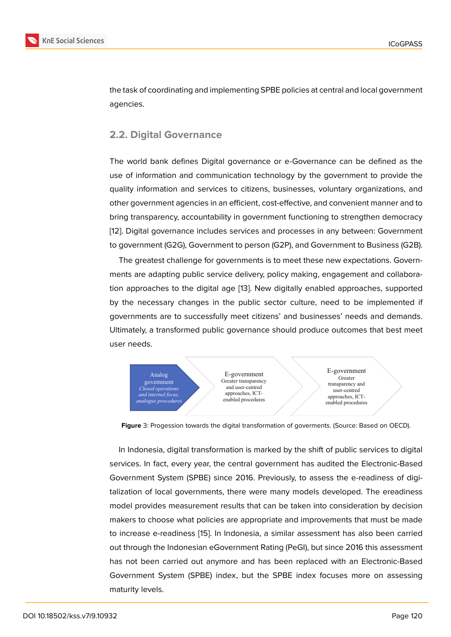the task of coordinating and implementing SPBE policies at central and local government agencies.

## **2.2. Digital Governance**

The world bank defines Digital governance or e-Governance can be defined as the use of information and communication technology by the government to provide the quality information and services to citizens, businesses, voluntary organizations, and other government agencies in an efficient, cost-effective, and convenient manner and to bring transparency, accountability in government functioning to strengthen democracy [12]. Digital governance includes services and processes in any between: Government to government (G2G), Government to person (G2P), and Government to Business (G2B).

The greatest challenge for governments is to meet these new expectations. Govern[me](#page-9-3)nts are adapting public service delivery, policy making, engagement and collaboration approaches to the digital age [13]. New digitally enabled approaches, supported by the necessary changes in the public sector culture, need to be implemented if governments are to successfully meet citizens' and businesses' needs and demands. Ultimately, a transformed public gov[er](#page-9-4)nance should produce outcomes that best meet user needs.



**Figure** 3: Progession towards the digital transformation of goverments. (Source: Based on OECD).

In Indonesia, digital transformation is marked by the shift of public services to digital services. In fact, every year, the central government has audited the Electronic-Based Government System (SPBE) since 2016. Previously, to assess the e-readiness of digitalization of local governments, there were many models developed. The ereadiness model provides measurement results that can be taken into consideration by decision makers to choose what policies are appropriate and improvements that must be made to increase e-readiness [15]. In Indonesia, a similar assessment has also been carried out through the Indonesian eGovernment Rating (PeGI), but since 2016 this assessment has not been carried out anymore and has been replaced with an Electronic-Based Government System (S[PBE](#page-9-5)) index, but the SPBE index focuses more on assessing maturity levels.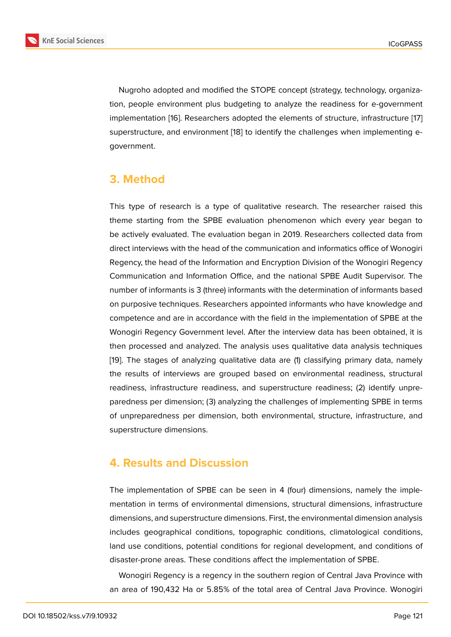Nugroho adopted and modified the STOPE concept (strategy, technology, organization, people environment plus budgeting to analyze the readiness for e-government implementation [16]. Researchers adopted the elements of structure, infrastructure [17] superstructure, and environment [18] to identify the challenges when implementing egovernment.

# **3. Method**

This type of research is a type of qualitative research. The researcher raised this theme starting from the SPBE evaluation phenomenon which every year began to be actively evaluated. The evaluation began in 2019. Researchers collected data from direct interviews with the head of the communication and informatics office of Wonogiri Regency, the head of the Information and Encryption Division of the Wonogiri Regency Communication and Information Office, and the national SPBE Audit Supervisor. The number of informants is 3 (three) informants with the determination of informants based on purposive techniques. Researchers appointed informants who have knowledge and competence and are in accordance with the field in the implementation of SPBE at the Wonogiri Regency Government level. After the interview data has been obtained, it is then processed and analyzed. The analysis uses qualitative data analysis techniques [19]. The stages of analyzing qualitative data are (1) classifying primary data, namely the results of interviews are grouped based on environmental readiness, structural readiness, infrastructure readiness, and superstructure readiness; (2) identify unpre[par](#page-10-0)edness per dimension; (3) analyzing the challenges of implementing SPBE in terms of unpreparedness per dimension, both environmental, structure, infrastructure, and superstructure dimensions.

# **4. Results and Discussion**

The implementation of SPBE can be seen in 4 (four) dimensions, namely the implementation in terms of environmental dimensions, structural dimensions, infrastructure dimensions, and superstructure dimensions. First, the environmental dimension analysis includes geographical conditions, topographic conditions, climatological conditions, land use conditions, potential conditions for regional development, and conditions of disaster-prone areas. These conditions affect the implementation of SPBE.

Wonogiri Regency is a regency in the southern region of Central Java Province with an area of 190,432 Ha or 5.85% of the total area of Central Java Province. Wonogiri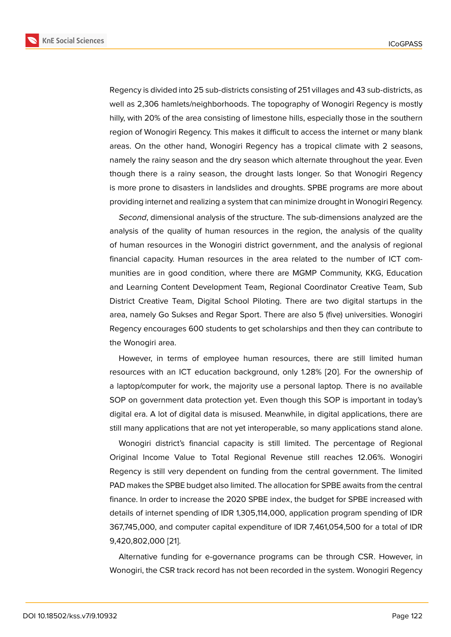Regency is divided into 25 sub-districts consisting of 251 villages and 43 sub-districts, as well as 2,306 hamlets/neighborhoods. The topography of Wonogiri Regency is mostly hilly, with 20% of the area consisting of limestone hills, especially those in the southern region of Wonogiri Regency. This makes it difficult to access the internet or many blank areas. On the other hand, Wonogiri Regency has a tropical climate with 2 seasons, namely the rainy season and the dry season which alternate throughout the year. Even though there is a rainy season, the drought lasts longer. So that Wonogiri Regency is more prone to disasters in landslides and droughts. SPBE programs are more about providing internet and realizing a system that can minimize drought in Wonogiri Regency.

*Second*, dimensional analysis of the structure. The sub-dimensions analyzed are the analysis of the quality of human resources in the region, the analysis of the quality of human resources in the Wonogiri district government, and the analysis of regional financial capacity. Human resources in the area related to the number of ICT communities are in good condition, where there are MGMP Community, KKG, Education and Learning Content Development Team, Regional Coordinator Creative Team, Sub District Creative Team, Digital School Piloting. There are two digital startups in the area, namely Go Sukses and Regar Sport. There are also 5 (five) universities. Wonogiri Regency encourages 600 students to get scholarships and then they can contribute to the Wonogiri area.

However, in terms of employee human resources, there are still limited human resources with an ICT education background, only 1.28% [20]. For the ownership of a laptop/computer for work, the majority use a personal laptop. There is no available SOP on government data protection yet. Even though this SOP is important in today's digital era. A lot of digital data is misused. Meanwhile, in di[gita](#page-10-1)l applications, there are still many applications that are not yet interoperable, so many applications stand alone.

Wonogiri district's financial capacity is still limited. The percentage of Regional Original Income Value to Total Regional Revenue still reaches 12.06%. Wonogiri Regency is still very dependent on funding from the central government. The limited PAD makes the SPBE budget also limited. The allocation for SPBE awaits from the central finance. In order to increase the 2020 SPBE index, the budget for SPBE increased with details of internet spending of IDR 1,305,114,000, application program spending of IDR 367,745,000, and computer capital expenditure of IDR 7,461,054,500 for a total of IDR 9,420,802,000 [21].

Alternative funding for e-governance programs can be through CSR. However, in Wonogiri, the C[SR t](#page-10-2)rack record has not been recorded in the system. Wonogiri Regency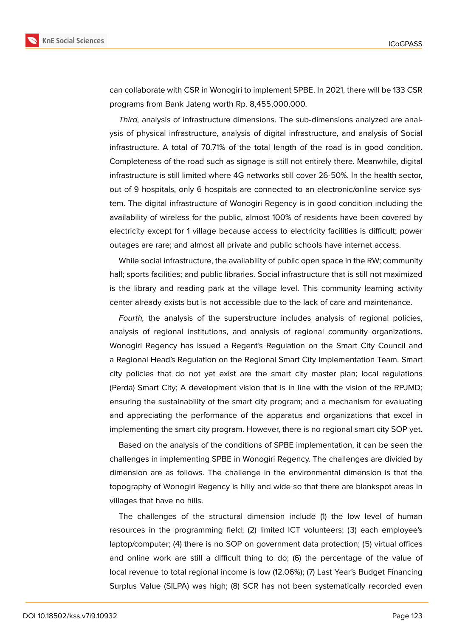



can collaborate with CSR in Wonogiri to implement SPBE. In 2021, there will be 133 CSR programs from Bank Jateng worth Rp. 8,455,000,000.

*Third,* analysis of infrastructure dimensions. The sub-dimensions analyzed are analysis of physical infrastructure, analysis of digital infrastructure, and analysis of Social infrastructure. A total of 70.71% of the total length of the road is in good condition. Completeness of the road such as signage is still not entirely there. Meanwhile, digital infrastructure is still limited where 4G networks still cover 26-50%. In the health sector, out of 9 hospitals, only 6 hospitals are connected to an electronic/online service system. The digital infrastructure of Wonogiri Regency is in good condition including the availability of wireless for the public, almost 100% of residents have been covered by electricity except for 1 village because access to electricity facilities is difficult; power outages are rare; and almost all private and public schools have internet access.

While social infrastructure, the availability of public open space in the RW; community hall; sports facilities; and public libraries. Social infrastructure that is still not maximized is the library and reading park at the village level. This community learning activity center already exists but is not accessible due to the lack of care and maintenance.

*Fourth,* the analysis of the superstructure includes analysis of regional policies, analysis of regional institutions, and analysis of regional community organizations. Wonogiri Regency has issued a Regent's Regulation on the Smart City Council and a Regional Head's Regulation on the Regional Smart City Implementation Team. Smart city policies that do not yet exist are the smart city master plan; local regulations (Perda) Smart City; A development vision that is in line with the vision of the RPJMD; ensuring the sustainability of the smart city program; and a mechanism for evaluating and appreciating the performance of the apparatus and organizations that excel in implementing the smart city program. However, there is no regional smart city SOP yet.

Based on the analysis of the conditions of SPBE implementation, it can be seen the challenges in implementing SPBE in Wonogiri Regency. The challenges are divided by dimension are as follows. The challenge in the environmental dimension is that the topography of Wonogiri Regency is hilly and wide so that there are blankspot areas in villages that have no hills.

The challenges of the structural dimension include (1) the low level of human resources in the programming field; (2) limited ICT volunteers; (3) each employee's laptop/computer; (4) there is no SOP on government data protection; (5) virtual offices and online work are still a difficult thing to do; (6) the percentage of the value of local revenue to total regional income is low (12.06%); (7) Last Year's Budget Financing Surplus Value (SILPA) was high; (8) SCR has not been systematically recorded even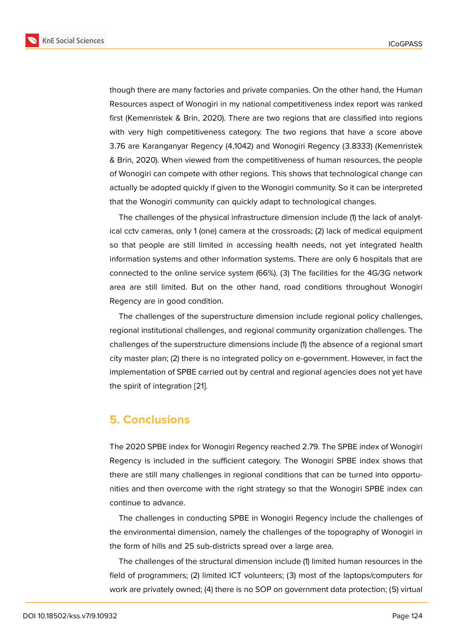though there are many factories and private companies. On the other hand, the Human Resources aspect of Wonogiri in my national competitiveness index report was ranked first (Kemenristek & Brin, 2020). There are two regions that are classified into regions with very high competitiveness category. The two regions that have a score above 3.76 are Karanganyar Regency (4,1042) and Wonogiri Regency (3.8333) (Kemenristek & Brin, 2020). When viewed from the competitiveness of human resources, the people of Wonogiri can compete with other regions. This shows that technological change can actually be adopted quickly if given to the Wonogiri community. So it can be interpreted that the Wonogiri community can quickly adapt to technological changes.

The challenges of the physical infrastructure dimension include (1) the lack of analytical cctv cameras, only 1 (one) camera at the crossroads; (2) lack of medical equipment so that people are still limited in accessing health needs, not yet integrated health information systems and other information systems. There are only 6 hospitals that are connected to the online service system (66%). (3) The facilities for the 4G/3G network area are still limited. But on the other hand, road conditions throughout Wonogiri Regency are in good condition.

The challenges of the superstructure dimension include regional policy challenges, regional institutional challenges, and regional community organization challenges. The challenges of the superstructure dimensions include (1) the absence of a regional smart city master plan; (2) there is no integrated policy on e-government. However, in fact the implementation of SPBE carried out by central and regional agencies does not yet have the spirit of integration [21].

## **5. Conclusions**

The 2020 SPBE index for Wonogiri Regency reached 2.79. The SPBE index of Wonogiri Regency is included in the sufficient category. The Wonogiri SPBE index shows that there are still many challenges in regional conditions that can be turned into opportunities and then overcome with the right strategy so that the Wonogiri SPBE index can continue to advance.

The challenges in conducting SPBE in Wonogiri Regency include the challenges of the environmental dimension, namely the challenges of the topography of Wonogiri in the form of hills and 25 sub-districts spread over a large area.

The challenges of the structural dimension include (1) limited human resources in the field of programmers; (2) limited ICT volunteers; (3) most of the laptops/computers for work are privately owned; (4) there is no SOP on government data protection; (5) virtual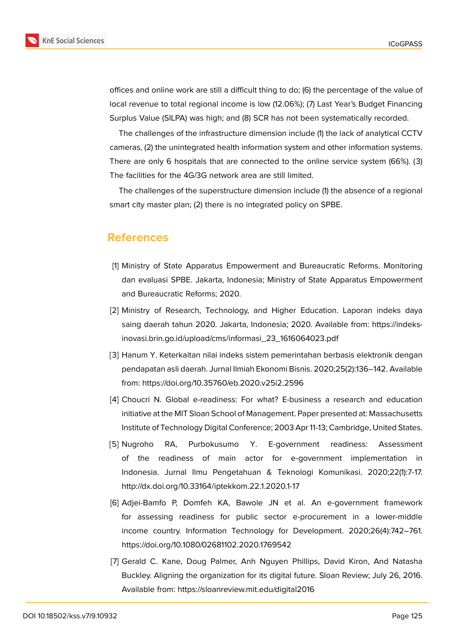

offices and online work are still a difficult thing to do; (6) the percentage of the value of local revenue to total regional income is low (12.06%); (7) Last Year's Budget Financing Surplus Value (SILPA) was high; and (8) SCR has not been systematically recorded.

The challenges of the infrastructure dimension include (1) the lack of analytical CCTV cameras, (2) the unintegrated health information system and other information systems. There are only 6 hospitals that are connected to the online service system (66%). (3) The facilities for the 4G/3G network area are still limited.

The challenges of the superstructure dimension include (1) the absence of a regional smart city master plan; (2) there is no integrated policy on SPBE.

# **References**

- <span id="page-8-0"></span>[1] Ministry of State Apparatus Empowerment and Bureaucratic Reforms. Monitoring dan evaluasi SPBE. Jakarta, Indonesia; Ministry of State Apparatus Empowerment and Bureaucratic Reforms; 2020.
- <span id="page-8-1"></span>[2] Ministry of Research, Technology, and Higher Education. Laporan indeks daya saing daerah tahun 2020. Jakarta, Indonesia; 2020. Available from: https://indeksinovasi.brin.go.id/upload/cms/informasi\_23\_1616064023.pdf
- <span id="page-8-2"></span>[3] Hanum Y. Keterkaitan nilai indeks sistem pemerintahan berbasis elektronik dengan pendapatan asli daerah. Jurnal Ilmiah Ekonomi Bisnis. 2020;25(2):136–142. Available from: https://doi.org/10.35760/eb.2020.v25i2.2596
- <span id="page-8-3"></span>[4] Choucri N. Global e-readiness: For what? E-business a research and education initiative at the MIT Sloan School of Management. Paper presented at: Massachusetts Institute of Technology Digital Conference; 2003 Apr 11-13; Cambridge, United States.
- <span id="page-8-4"></span>[5] Nugroho RA, Purbokusumo Y. E-government readiness: Assessment of the readiness of main actor for e-government implementation in Indonesia. Jurnal Ilmu Pengetahuan & Teknologi Komunikasi. 2020;22(1):7-17. http://dx.doi.org/10.33164/iptekkom.22.1.2020.1-17
- <span id="page-8-5"></span>[6] Adjei-Bamfo P, Domfeh KA, Bawole JN et al. An e-government framework for assessing readiness for public sector e-procurement in a lower-middle income country. Information Technology for Development. 2020;26(4):742–761. https://doi.org/10.1080/02681102.2020.1769542
- [7] Gerald C. Kane, Doug Palmer, Anh Nguyen Phillips, David Kiron, And Natasha Buckley. Aligning the organization for its digital future. Sloan Review; July 26, 2016. Available from: https://sloanreview.mit.edu/digital2016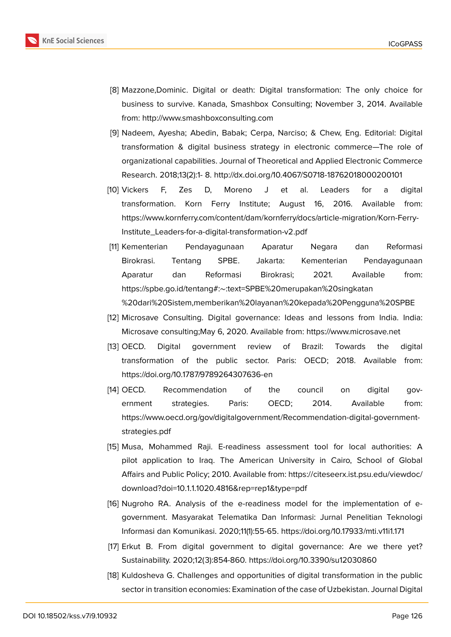- [8] Mazzone,Dominic. Digital or death: Digital transformation: The only choice for business to survive. Kanada, Smashbox Consulting; November 3, 2014. Available from: http://www.smashboxconsulting.com
- [9] Nadeem, Ayesha; Abedin, Babak; Cerpa, Narciso; & Chew, Eng. Editorial: Digital transformation & digital business strategy in electronic commerce—The role of organizational capabilities. Journal of Theoretical and Applied Electronic Commerce Research. 2018;13(2):1- 8. http://dx.doi.org/10.4067/S0718-18762018000200101
- <span id="page-9-0"></span>[10] Vickers F, Zes D, Moreno J et al. Leaders for a digital transformation. Korn Ferry Institute; August 16, 2016. Available from: https://www.kornferry.com/content/dam/kornferry/docs/article-migration/Korn-Ferry-Institute\_Leaders-for-a-digital-transformation-v2.pdf
- <span id="page-9-2"></span><span id="page-9-1"></span>[11] Kementerian Pendayagunaan Aparatur Negara dan Reformasi Birokrasi. Tentang SPBE. Jakarta: Kementerian Pendayagunaan Aparatur dan Reformasi Birokrasi; 2021. Available from: https://spbe.go.id/tentang#:∼:text=SPBE%20merupakan%20singkatan %20dari%20Sistem,memberikan%20layanan%20kepada%20Pengguna%20SPBE
- [12] Microsave Consulting. Digital governance: Ideas and lessons from India. India: Microsave consulting;May 6, 2020. Available from: https://www.microsave.net
- <span id="page-9-3"></span>[13] OECD. Digital government review of Brazil: Towards the digital transformation of the public sector. Paris: OECD; 2018. Available from: https://doi.org/10.1787/9789264307636-en
- <span id="page-9-4"></span>[14] OECD. Recommendation of the council on digital government strategies. Paris: OECD; 2014. Available from: https://www.oecd.org/gov/digitalgovernment/Recommendation-digital-governmentstrategies.pdf
- [15] Musa, Mohammed Raji. E-readiness assessment tool for local authorities: A pilot application to Iraq. The American University in Cairo, School of Global Affairs and Public Policy; 2010. Available from: https://citeseerx.ist.psu.edu/viewdoc/ download?doi=10.1.1.1020.4816&rep=rep1&type=pdf
- <span id="page-9-5"></span>[16] Nugroho RA. Analysis of the e-readiness model for the implementation of egovernment. Masyarakat Telematika Dan In[formasi: Jurnal Penelitian Teknologi](https://citeseerx.ist.psu.edu/viewdoc/download?doi=10.1.1.1020.4816&rep=rep1&type=pdf) [Informasi dan Komunikasi. 2020;11\(1\):55-65. https://d](https://citeseerx.ist.psu.edu/viewdoc/download?doi=10.1.1.1020.4816&rep=rep1&type=pdf)oi.org/10.17933/mti.v11i1.171
- [17] Erkut B. From digital government to digital governance: Are we there yet? Sustainability. 2020;12(3):854-860. https://doi.org/10.3390/su12030860
- [18] Kuldosheva G. Challenges and opportunities of digital transformation in the public sector in transition economies: Examination of the case of Uzbekistan. Journal Digital